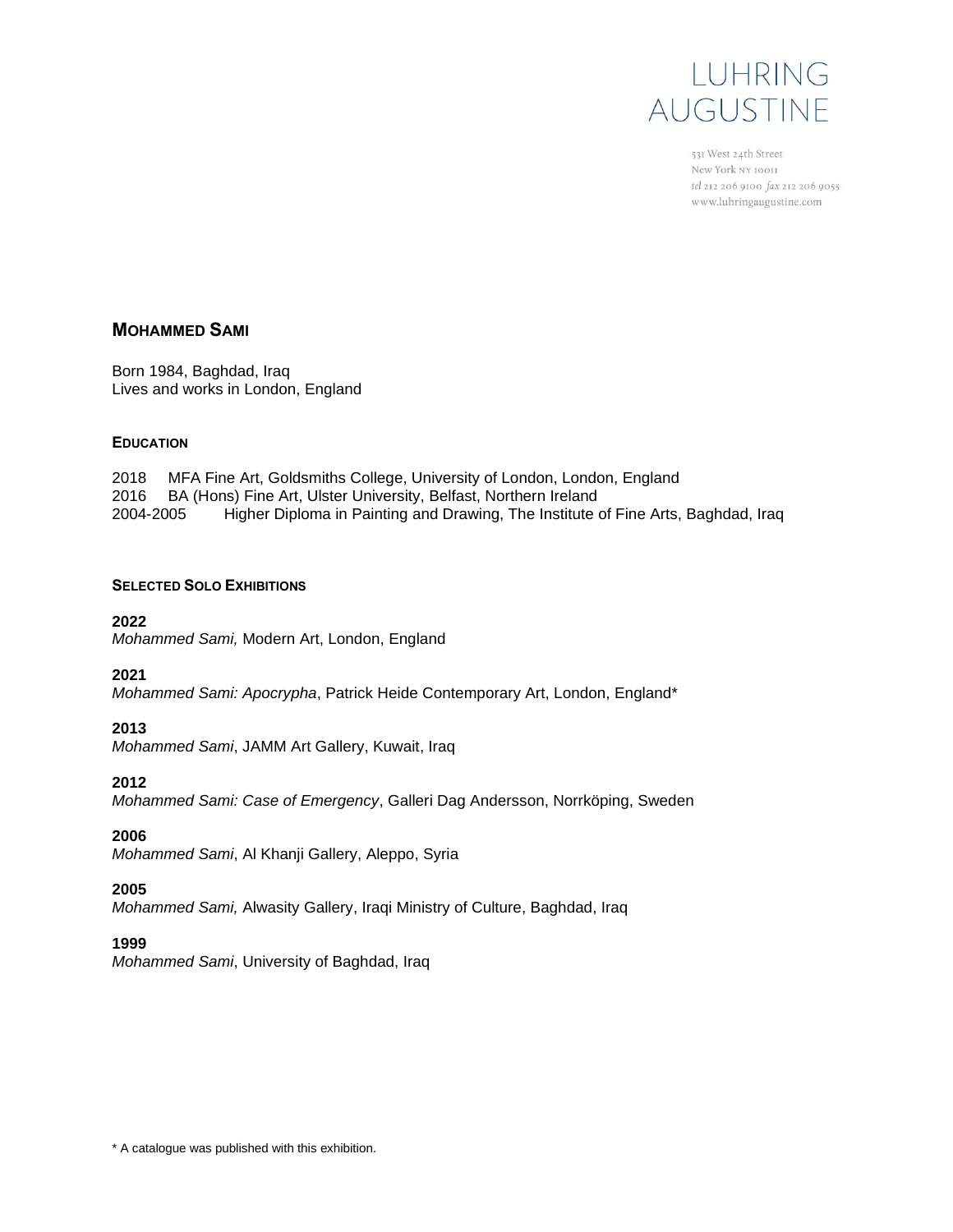

531 West 24th Street New York NY 10011 tel 212 206 9100 fax 212 206 9055 www.luhringaugustine.com

# **MOHAMMED SAMI**

Born 1984, Baghdad, Iraq Lives and works in London, England

#### **EDUCATION**

2018 MFA Fine Art, Goldsmiths College, University of London, London, England 2016 BA (Hons) Fine Art, Ulster University, Belfast, Northern Ireland 2004-2005 Higher Diploma in Painting and Drawing, The Institute of Fine Arts, Baghdad, Iraq

#### **SELECTED SOLO EXHIBITIONS**

#### **2022**

*Mohammed Sami,* Modern Art, London, England

### **2021**

*Mohammed Sami: Apocrypha*, Patrick Heide Contemporary Art, London, England\*

### **2013**

*Mohammed Sami*, JAMM Art Gallery, Kuwait, Iraq

### **2012**

*Mohammed Sami: Case of Emergency*, Galleri Dag Andersson, Norrköping, Sweden

# **2006**

*Mohammed Sami*, Al Khanji Gallery, Aleppo, Syria

## **2005**

*Mohammed Sami,* Alwasity Gallery, Iraqi Ministry of Culture, Baghdad, Iraq

### **1999**

*Mohammed Sami*, University of Baghdad, Iraq

\* A catalogue was published with this exhibition.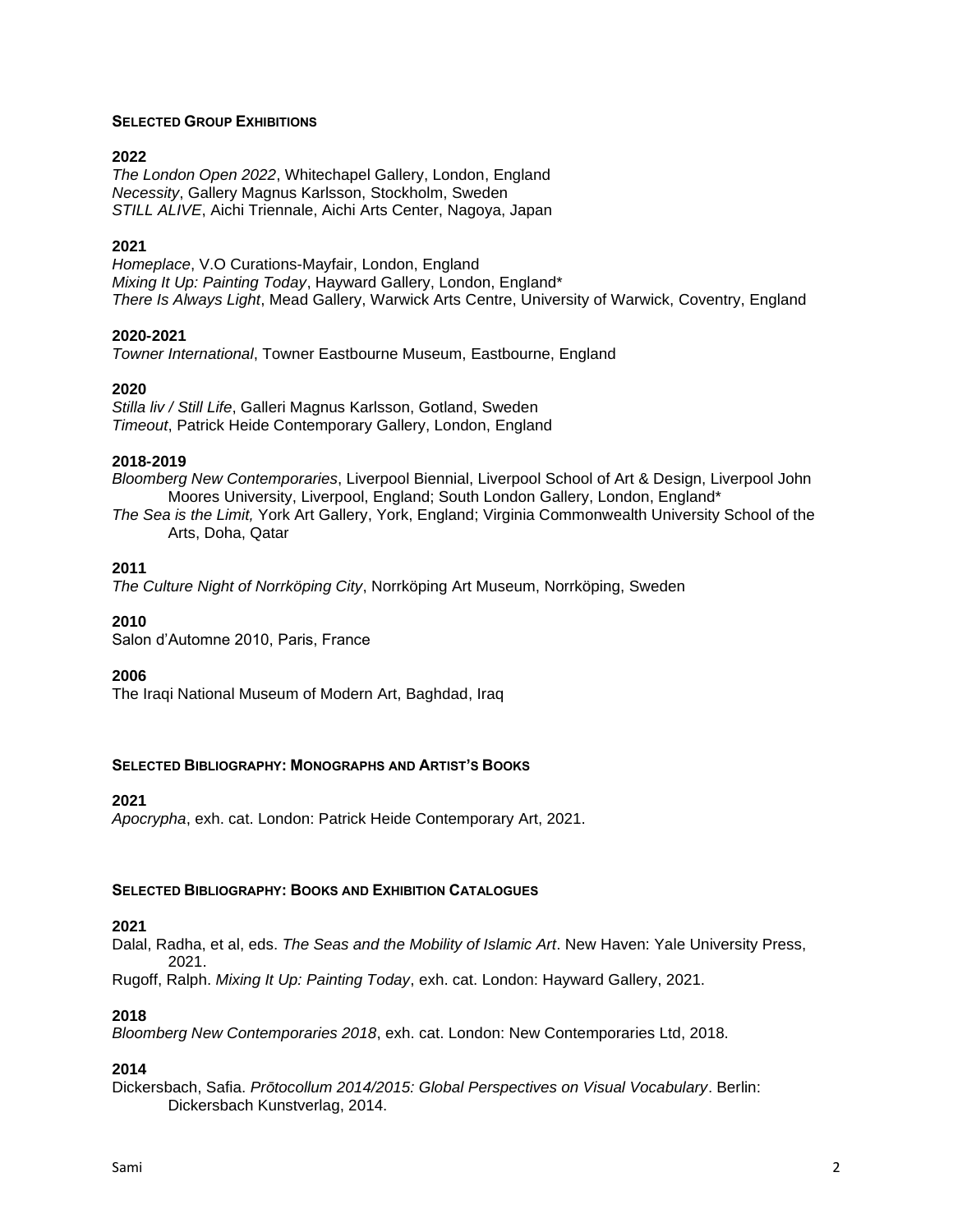### **SELECTED GROUP EXHIBITIONS**

## **2022**

*The London Open 2022*, Whitechapel Gallery, London, England *Necessity*, Gallery Magnus Karlsson, Stockholm, Sweden *STILL ALIVE*, Aichi Triennale, Aichi Arts Center, Nagoya, Japan

### **2021**

*Homeplace*, V.O Curations-Mayfair, London, England *Mixing It Up: Painting Today*, Hayward Gallery, London, England\* *There Is Always Light*, Mead Gallery, Warwick Arts Centre, University of Warwick, Coventry, England

## **2020-2021**

*Towner International*, Towner Eastbourne Museum, Eastbourne, England

## **2020**

*Stilla liv / Still Life*, Galleri Magnus Karlsson, Gotland, Sweden *Timeout*, Patrick Heide Contemporary Gallery, London, England

## **2018-2019**

*Bloomberg New Contemporaries*, Liverpool Biennial, Liverpool School of Art & Design, Liverpool John Moores University, Liverpool, England; South London Gallery, London, England\*

*The Sea is the Limit,* York Art Gallery, York, England; Virginia Commonwealth University School of the Arts, Doha, Qatar

## **2011**

*The Culture Night of Norrköping City*, Norrköping Art Museum, Norrköping, Sweden

### **2010**

Salon d'Automne 2010, Paris, France

### **2006**

The Iraqi National Museum of Modern Art, Baghdad, Iraq

### **SELECTED BIBLIOGRAPHY: MONOGRAPHS AND ARTIST'S BOOKS**

### **2021**

*Apocrypha*, exh. cat. London: Patrick Heide Contemporary Art, 2021.

### **SELECTED BIBLIOGRAPHY: BOOKS AND EXHIBITION CATALOGUES**

### **2021**

Dalal, Radha, et al, eds. *The Seas and the Mobility of Islamic Art*. New Haven: Yale University Press, 2021.

Rugoff, Ralph. *Mixing It Up: Painting Today*, exh. cat. London: Hayward Gallery, 2021.

# **2018**

*Bloomberg New Contemporaries 2018*, exh. cat. London: New Contemporaries Ltd, 2018.

# **2014**

Dickersbach, Safia. *Prōtocollum 2014/2015: Global Perspectives on Visual Vocabulary*. Berlin: Dickersbach Kunstverlag, 2014.